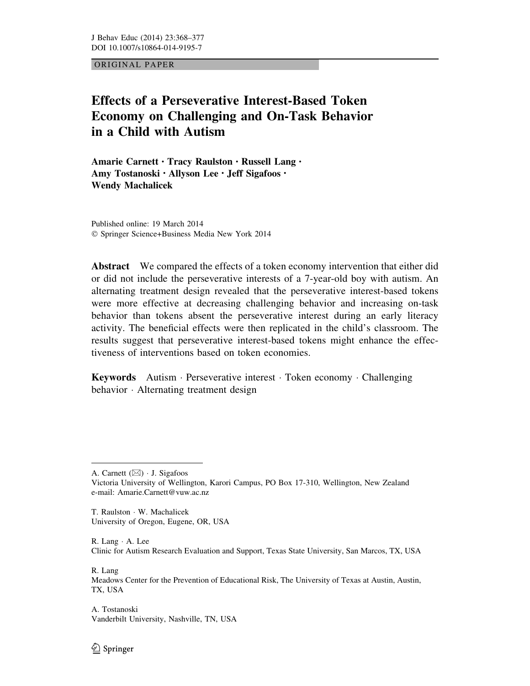ORIGINAL PAPER

# Effects of a Perseverative Interest-Based Token Economy on Challenging and On-Task Behavior in a Child with Autism

Amarie Carnett • Tracy Raulston • Russell Lang • Amy Tostanoski • Allyson Lee • Jeff Sigafoos • Wendy Machalicek

Published online: 19 March 2014 ! Springer Science+Business Media New York 2014

Abstract We compared the effects of a token economy intervention that either did or did not include the perseverative interests of a 7-year-old boy with autism. An alternating treatment design revealed that the perseverative interest-based tokens were more effective at decreasing challenging behavior and increasing on-task behavior than tokens absent the perseverative interest during an early literacy activity. The beneficial effects were then replicated in the child's classroom. The results suggest that perseverative interest-based tokens might enhance the effectiveness of interventions based on token economies.

**Keywords** Autism · Perseverative interest · Token economy · Challenging behavior · Alternating treatment design

T. Raulston · W. Machalicek University of Oregon, Eugene, OR, USA

 $R.$  Lang  $\cdot$  A. Lee Clinic for Autism Research Evaluation and Support, Texas State University, San Marcos, TX, USA

R. Lang

Meadows Center for the Prevention of Educational Risk, The University of Texas at Austin, Austin, TX, USA

A. Tostanoski Vanderbilt University, Nashville, TN, USA

A. Carnett  $(\boxtimes) \cdot$  J. Sigafoos Victoria University of Wellington, Karori Campus, PO Box 17-310, Wellington, New Zealand e-mail: Amarie.Carnett@vuw.ac.nz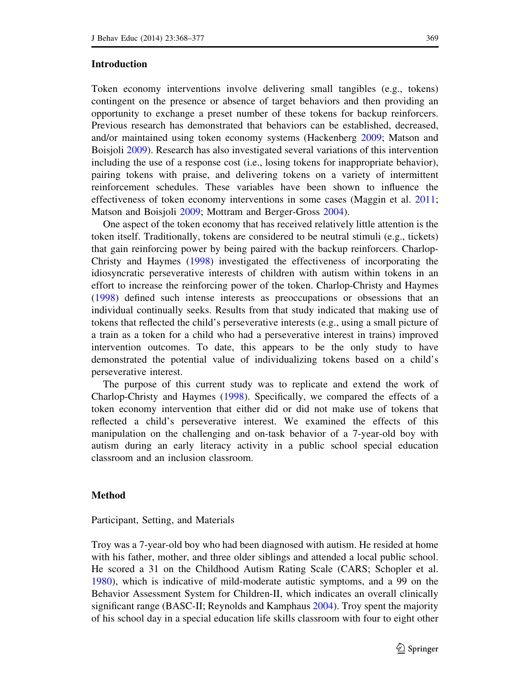# Introduction

Token economy interventions involve delivering small tangibles (e.g., tokens) contingent on the presence or absence of target behaviors and then providing an opportunity to exchange a preset number of these tokens for backup reinforcers. Previous research has demonstrated that behaviors can be established, decreased, and/or maintained using token economy systems (Hackenberg 2009; Matson and Boisjoli 2009). Research has also investigated several variations of this intervention including the use of a response cost (i.e., losing tokens for inappropriate behavior), pairing tokens with praise, and delivering tokens on a variety of intermittent reinforcement schedules. These variables have been shown to influence the effectiveness of token economy interventions in some cases (Maggin et al. 2011; Matson and Boisjoli 2009; Mottram and Berger-Gross 2004).

One aspect of the token economy that has received relatively little attention is the token itself. Traditionally, tokens are considered to be neutral stimuli (e.g., tickets) that gain reinforcing power by being paired with the backup reinforcers. Charlop-Christy and Haymes (1998) investigated the effectiveness of incorporating the idiosyncratic perseverative interests of children with autism within tokens in an effort to increase the reinforcing power of the token. Charlop-Christy and Haymes (1998) defined such intense interests as preoccupations or obsessions that an individual continually seeks. Results from that study indicated that making use of tokens that reflected the child's perseverative interests (e.g., using a small picture of a train as a token for a child who had a perseverative interest in trains) improved intervention outcomes. To date, this appears to be the only study to have demonstrated the potential value of individualizing tokens based on a child's perseverative interest.

The purpose of this current study was to replicate and extend the work of Charlop-Christy and Haymes (1998). Specifically, we compared the effects of a token economy intervention that either did or did not make use of tokens that reflected a child's perseverative interest. We examined the effects of this manipulation on the challenging and on-task behavior of a 7-year-old boy with autism during an early literacy activity in a public school special education classroom and an inclusion classroom.

# Method

## Participant, Setting, and Materials

Troy was a 7-year-old boy who had been diagnosed with autism. He resided at home with his father, mother, and three older siblings and attended a local public school. He scored a 31 on the Childhood Autism Rating Scale (CARS; Schopler et al. 1980), which is indicative of mild-moderate autistic symptoms, and a 99 on the Behavior Assessment System for Children-II, which indicates an overall clinically significant range (BASC-II; Reynolds and Kamphaus 2004). Troy spent the majority of his school day in a special education life skills classroom with four to eight other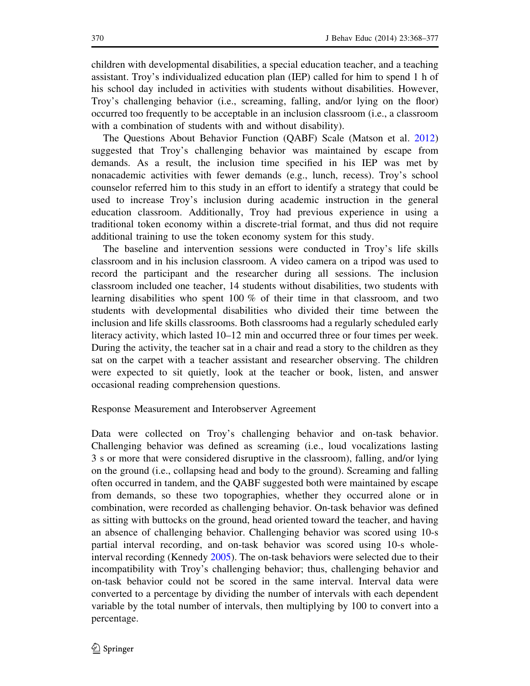children with developmental disabilities, a special education teacher, and a teaching assistant. Troy's individualized education plan (IEP) called for him to spend 1 h of his school day included in activities with students without disabilities. However, Troy's challenging behavior (i.e., screaming, falling, and/or lying on the floor) occurred too frequently to be acceptable in an inclusion classroom (i.e., a classroom with a combination of students with and without disability).

The Questions About Behavior Function (QABF) Scale (Matson et al. 2012) suggested that Troy's challenging behavior was maintained by escape from demands. As a result, the inclusion time specified in his IEP was met by nonacademic activities with fewer demands (e.g., lunch, recess). Troy's school counselor referred him to this study in an effort to identify a strategy that could be used to increase Troy's inclusion during academic instruction in the general education classroom. Additionally, Troy had previous experience in using a traditional token economy within a discrete-trial format, and thus did not require additional training to use the token economy system for this study.

The baseline and intervention sessions were conducted in Troy's life skills classroom and in his inclusion classroom. A video camera on a tripod was used to record the participant and the researcher during all sessions. The inclusion classroom included one teacher, 14 students without disabilities, two students with learning disabilities who spent 100 % of their time in that classroom, and two students with developmental disabilities who divided their time between the inclusion and life skills classrooms. Both classrooms had a regularly scheduled early literacy activity, which lasted 10–12 min and occurred three or four times per week. During the activity, the teacher sat in a chair and read a story to the children as they sat on the carpet with a teacher assistant and researcher observing. The children were expected to sit quietly, look at the teacher or book, listen, and answer occasional reading comprehension questions.

# Response Measurement and Interobserver Agreement

Data were collected on Troy's challenging behavior and on-task behavior. Challenging behavior was defined as screaming (i.e., loud vocalizations lasting 3 s or more that were considered disruptive in the classroom), falling, and/or lying on the ground (i.e., collapsing head and body to the ground). Screaming and falling often occurred in tandem, and the QABF suggested both were maintained by escape from demands, so these two topographies, whether they occurred alone or in combination, were recorded as challenging behavior. On-task behavior was defined as sitting with buttocks on the ground, head oriented toward the teacher, and having an absence of challenging behavior. Challenging behavior was scored using 10-s partial interval recording, and on-task behavior was scored using 10-s wholeinterval recording (Kennedy 2005). The on-task behaviors were selected due to their incompatibility with Troy's challenging behavior; thus, challenging behavior and on-task behavior could not be scored in the same interval. Interval data were converted to a percentage by dividing the number of intervals with each dependent variable by the total number of intervals, then multiplying by 100 to convert into a percentage.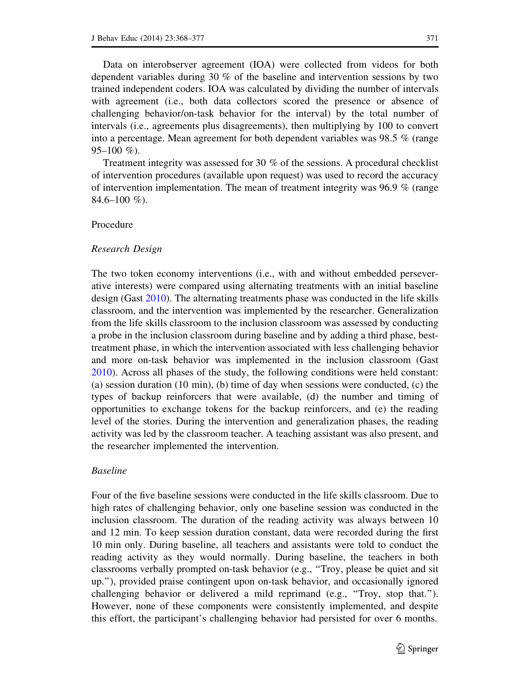Data on interobserver agreement (IOA) were collected from videos for both dependent variables during 30 % of the baseline and intervention sessions by two trained independent coders. IOA was calculated by dividing the number of intervals with agreement (i.e., both data collectors scored the presence or absence of challenging behavior/on-task behavior for the interval) by the total number of intervals (i.e., agreements plus disagreements), then multiplying by 100 to convert into a percentage. Mean agreement for both dependent variables was 98.5 % (range  $95-100 \%$ ).

Treatment integrity was assessed for 30 % of the sessions. A procedural checklist of intervention procedures (available upon request) was used to record the accuracy of intervention implementation. The mean of treatment integrity was 96.9 % (range  $84.6 - 100\%$ ).

## Procedure

## Research Design

The two token economy interventions (i.e., with and without embedded perseverative interests) were compared using alternating treatments with an initial baseline design (Gast 2010). The alternating treatments phase was conducted in the life skills classroom, and the intervention was implemented by the researcher. Generalization from the life skills classroom to the inclusion classroom was assessed by conducting a probe in the inclusion classroom during baseline and by adding a third phase, besttreatment phase, in which the intervention associated with less challenging behavior and more on-task behavior was implemented in the inclusion classroom (Gast 2010). Across all phases of the study, the following conditions were held constant: (a) session duration (10 min), (b) time of day when sessions were conducted, (c) the types of backup reinforcers that were available, (d) the number and timing of opportunities to exchange tokens for the backup reinforcers, and (e) the reading level of the stories. During the intervention and generalization phases, the reading activity was led by the classroom teacher. A teaching assistant was also present, and the researcher implemented the intervention.

## Baseline

Four of the five baseline sessions were conducted in the life skills classroom. Due to high rates of challenging behavior, only one baseline session was conducted in the inclusion classroom. The duration of the reading activity was always between 10 and 12 min. To keep session duration constant, data were recorded during the first 10 min only. During baseline, all teachers and assistants were told to conduct the reading activity as they would normally. During baseline, the teachers in both classrooms verbally prompted on-task behavior (e.g., ''Troy, please be quiet and sit up.''), provided praise contingent upon on-task behavior, and occasionally ignored challenging behavior or delivered a mild reprimand (e.g., ''Troy, stop that.''). However, none of these components were consistently implemented, and despite this effort, the participant's challenging behavior had persisted for over 6 months.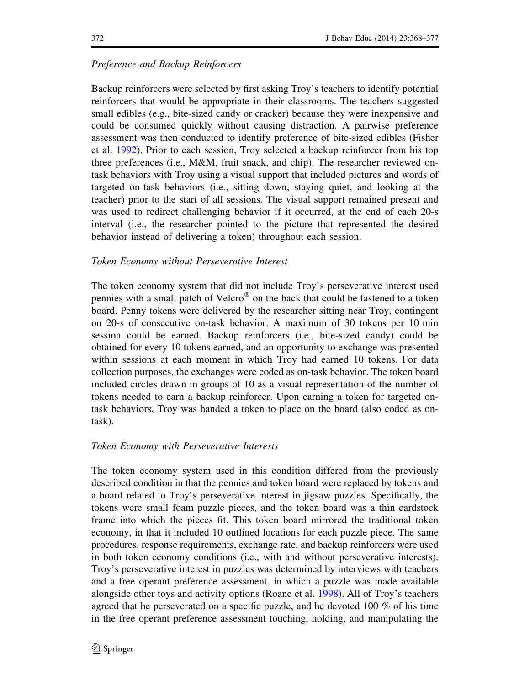# Preference and Backup Reinforcers

Backup reinforcers were selected by first asking Troy's teachers to identify potential reinforcers that would be appropriate in their classrooms. The teachers suggested small edibles (e.g., bite-sized candy or cracker) because they were inexpensive and could be consumed quickly without causing distraction. A pairwise preference assessment was then conducted to identify preference of bite-sized edibles (Fisher et al. 1992). Prior to each session, Troy selected a backup reinforcer from his top three preferences (i.e., M&M, fruit snack, and chip). The researcher reviewed ontask behaviors with Troy using a visual support that included pictures and words of targeted on-task behaviors (i.e., sitting down, staying quiet, and looking at the teacher) prior to the start of all sessions. The visual support remained present and was used to redirect challenging behavior if it occurred, at the end of each 20-s interval (i.e., the researcher pointed to the picture that represented the desired behavior instead of delivering a token) throughout each session.

# Token Economy without Perseverative Interest

The token economy system that did not include Troy's perseverative interest used pennies with a small patch of Velcro" on the back that could be fastened to a token board. Penny tokens were delivered by the researcher sitting near Troy, contingent on 20-s of consecutive on-task behavior. A maximum of 30 tokens per 10 min session could be earned. Backup reinforcers (i.e., bite-sized candy) could be obtained for every 10 tokens earned, and an opportunity to exchange was presented within sessions at each moment in which Troy had earned 10 tokens. For data collection purposes, the exchanges were coded as on-task behavior. The token board included circles drawn in groups of 10 as a visual representation of the number of tokens needed to earn a backup reinforcer. Upon earning a token for targeted ontask behaviors, Troy was handed a token to place on the board (also coded as ontask).

# Token Economy with Perseverative Interests

The token economy system used in this condition differed from the previously described condition in that the pennies and token board were replaced by tokens and a board related to Troy's perseverative interest in jigsaw puzzles. Specifically, the tokens were small foam puzzle pieces, and the token board was a thin cardstock frame into which the pieces fit. This token board mirrored the traditional token economy, in that it included 10 outlined locations for each puzzle piece. The same procedures, response requirements, exchange rate, and backup reinforcers were used in both token economy conditions (i.e., with and without perseverative interests). Troy's perseverative interest in puzzles was determined by interviews with teachers and a free operant preference assessment, in which a puzzle was made available alongside other toys and activity options (Roane et al. 1998). All of Troy's teachers agreed that he perseverated on a specific puzzle, and he devoted 100  $\%$  of his time in the free operant preference assessment touching, holding, and manipulating the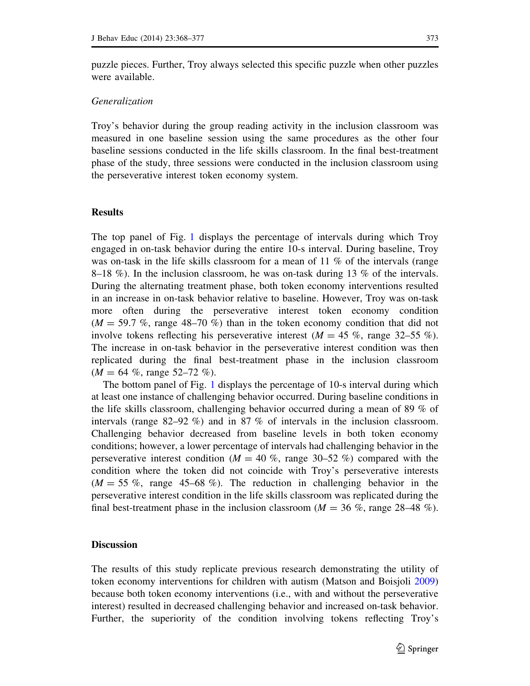puzzle pieces. Further, Troy always selected this specific puzzle when other puzzles were available.

# Generalization

Troy's behavior during the group reading activity in the inclusion classroom was measured in one baseline session using the same procedures as the other four baseline sessions conducted in the life skills classroom. In the final best-treatment phase of the study, three sessions were conducted in the inclusion classroom using the perseverative interest token economy system.

#### Results

The top panel of Fig. 1 displays the percentage of intervals during which Troy engaged in on-task behavior during the entire 10-s interval. During baseline, Troy was on-task in the life skills classroom for a mean of 11 % of the intervals (range 8–18 %). In the inclusion classroom, he was on-task during 13 % of the intervals. During the alternating treatment phase, both token economy interventions resulted in an increase in on-task behavior relative to baseline. However, Troy was on-task more often during the perseverative interest token economy condition  $(M = 59.7\%$ , range 48–70%) than in the token economy condition that did not involve tokens reflecting his perseverative interest  $(M = 45\%$ , range 32–55%). The increase in on-task behavior in the perseverative interest condition was then replicated during the final best-treatment phase in the inclusion classroom  $(M = 64 \%$ , range 52–72 %).

The bottom panel of Fig. 1 displays the percentage of 10-s interval during which at least one instance of challenging behavior occurred. During baseline conditions in the life skills classroom, challenging behavior occurred during a mean of 89 % of intervals (range 82–92 %) and in 87 % of intervals in the inclusion classroom. Challenging behavior decreased from baseline levels in both token economy conditions; however, a lower percentage of intervals had challenging behavior in the perseverative interest condition ( $M = 40\%$ , range 30–52 %) compared with the condition where the token did not coincide with Troy's perseverative interests  $(M = 55\%$ , range 45–68%). The reduction in challenging behavior in the perseverative interest condition in the life skills classroom was replicated during the final best-treatment phase in the inclusion classroom ( $M = 36\%$ , range 28–48 %).

## **Discussion**

The results of this study replicate previous research demonstrating the utility of token economy interventions for children with autism (Matson and Boisjoli 2009) because both token economy interventions (i.e., with and without the perseverative interest) resulted in decreased challenging behavior and increased on-task behavior. Further, the superiority of the condition involving tokens reflecting Troy's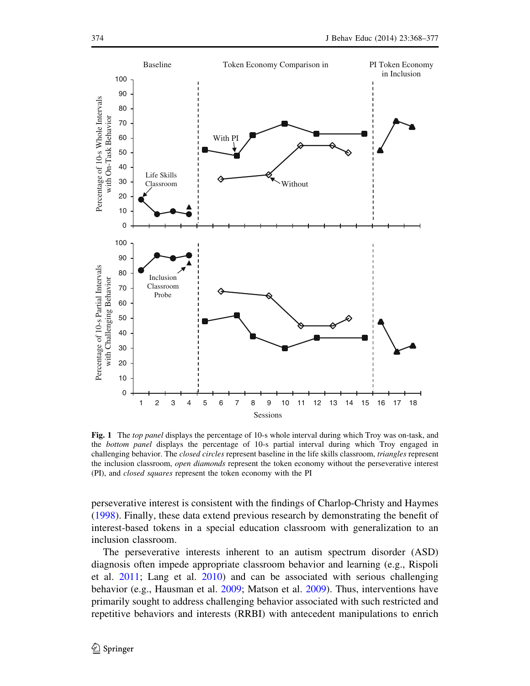

Fig. 1 The top panel displays the percentage of 10-s whole interval during which Troy was on-task, and the bottom panel displays the percentage of 10-s partial interval during which Troy engaged in challenging behavior. The *closed circles* represent baseline in the life skills classroom, *triangles* represent the inclusion classroom, *open diamonds* represent the token economy without the perseverative interest (PI), and closed squares represent the token economy with the PI

perseverative interest is consistent with the findings of Charlop-Christy and Haymes (1998). Finally, these data extend previous research by demonstrating the benefit of interest-based tokens in a special education classroom with generalization to an inclusion classroom.

The perseverative interests inherent to an autism spectrum disorder (ASD) diagnosis often impede appropriate classroom behavior and learning (e.g., Rispoli et al. 2011; Lang et al. 2010) and can be associated with serious challenging behavior (e.g., Hausman et al. 2009; Matson et al. 2009). Thus, interventions have primarily sought to address challenging behavior associated with such restricted and repetitive behaviors and interests (RRBI) with antecedent manipulations to enrich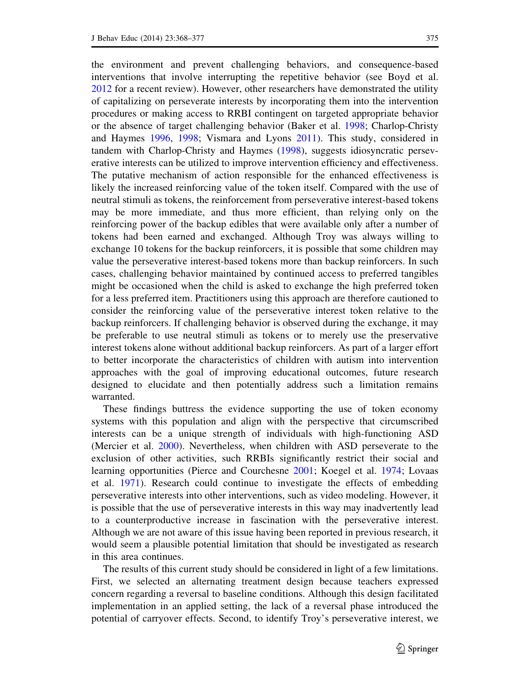the environment and prevent challenging behaviors, and consequence-based interventions that involve interrupting the repetitive behavior (see Boyd et al. 2012 for a recent review). However, other researchers have demonstrated the utility of capitalizing on perseverate interests by incorporating them into the intervention procedures or making access to RRBI contingent on targeted appropriate behavior or the absence of target challenging behavior (Baker et al. 1998; Charlop-Christy and Haymes 1996, 1998; Vismara and Lyons 2011). This study, considered in tandem with Charlop-Christy and Haymes (1998), suggests idiosyncratic perseverative interests can be utilized to improve intervention efficiency and effectiveness. The putative mechanism of action responsible for the enhanced effectiveness is likely the increased reinforcing value of the token itself. Compared with the use of neutral stimuli as tokens, the reinforcement from perseverative interest-based tokens may be more immediate, and thus more efficient, than relying only on the reinforcing power of the backup edibles that were available only after a number of tokens had been earned and exchanged. Although Troy was always willing to exchange 10 tokens for the backup reinforcers, it is possible that some children may value the perseverative interest-based tokens more than backup reinforcers. In such cases, challenging behavior maintained by continued access to preferred tangibles might be occasioned when the child is asked to exchange the high preferred token for a less preferred item. Practitioners using this approach are therefore cautioned to consider the reinforcing value of the perseverative interest token relative to the backup reinforcers. If challenging behavior is observed during the exchange, it may be preferable to use neutral stimuli as tokens or to merely use the preservative interest tokens alone without additional backup reinforcers. As part of a larger effort to better incorporate the characteristics of children with autism into intervention approaches with the goal of improving educational outcomes, future research designed to elucidate and then potentially address such a limitation remains warranted.

These findings buttress the evidence supporting the use of token economy systems with this population and align with the perspective that circumscribed interests can be a unique strength of individuals with high-functioning ASD (Mercier et al. 2000). Nevertheless, when children with ASD perseverate to the exclusion of other activities, such RRBIs significantly restrict their social and learning opportunities (Pierce and Courchesne 2001; Koegel et al. 1974; Lovaas et al. 1971). Research could continue to investigate the effects of embedding perseverative interests into other interventions, such as video modeling. However, it is possible that the use of perseverative interests in this way may inadvertently lead to a counterproductive increase in fascination with the perseverative interest. Although we are not aware of this issue having been reported in previous research, it would seem a plausible potential limitation that should be investigated as research in this area continues.

The results of this current study should be considered in light of a few limitations. First, we selected an alternating treatment design because teachers expressed concern regarding a reversal to baseline conditions. Although this design facilitated implementation in an applied setting, the lack of a reversal phase introduced the potential of carryover effects. Second, to identify Troy's perseverative interest, we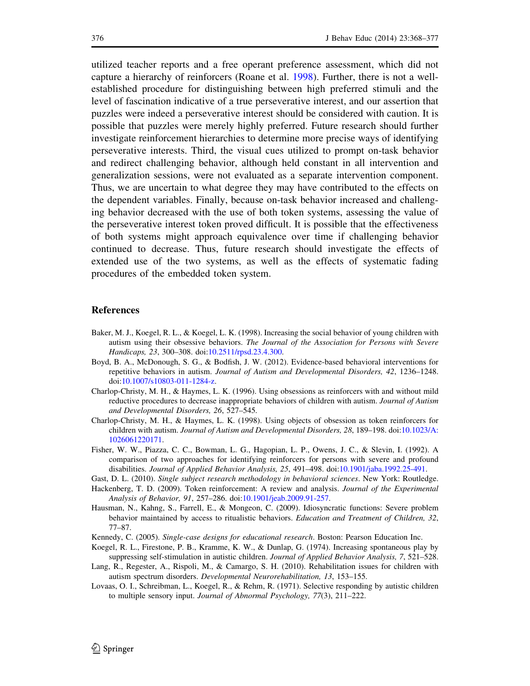utilized teacher reports and a free operant preference assessment, which did not capture a hierarchy of reinforcers (Roane et al. 1998). Further, there is not a wellestablished procedure for distinguishing between high preferred stimuli and the level of fascination indicative of a true perseverative interest, and our assertion that puzzles were indeed a perseverative interest should be considered with caution. It is possible that puzzles were merely highly preferred. Future research should further investigate reinforcement hierarchies to determine more precise ways of identifying perseverative interests. Third, the visual cues utilized to prompt on-task behavior and redirect challenging behavior, although held constant in all intervention and generalization sessions, were not evaluated as a separate intervention component. Thus, we are uncertain to what degree they may have contributed to the effects on the dependent variables. Finally, because on-task behavior increased and challenging behavior decreased with the use of both token systems, assessing the value of the perseverative interest token proved difficult. It is possible that the effectiveness of both systems might approach equivalence over time if challenging behavior continued to decrease. Thus, future research should investigate the effects of extended use of the two systems, as well as the effects of systematic fading procedures of the embedded token system.

## References

- Baker, M. J., Koegel, R. L., & Koegel, L. K. (1998). Increasing the social behavior of young children with autism using their obsessive behaviors. The Journal of the Association for Persons with Severe Handicaps, 23, 300–308. doi:10.2511/rpsd.23.4.300.
- Boyd, B. A., McDonough, S. G., & Bodfish, J. W. (2012). Evidence-based behavioral interventions for repetitive behaviors in autism. Journal of Autism and Developmental Disorders, 42, 1236–1248. doi:10.1007/s10803-011-1284-z.
- Charlop-Christy, M. H., & Haymes, L. K. (1996). Using obsessions as reinforcers with and without mild reductive procedures to decrease inappropriate behaviors of children with autism. Journal of Autism and Developmental Disorders, 26, 527–545.
- Charlop-Christy, M. H., & Haymes, L. K. (1998). Using objects of obsession as token reinforcers for children with autism. Journal of Autism and Developmental Disorders, 28, 189–198. doi:10.1023/A: 1026061220171.
- Fisher, W. W., Piazza, C. C., Bowman, L. G., Hagopian, L. P., Owens, J. C., & Slevin, I. (1992). A comparison of two approaches for identifying reinforcers for persons with severe and profound disabilities. Journal of Applied Behavior Analysis, 25, 491–498. doi:10.1901/jaba.1992.25-491.
- Gast, D. L. (2010). Single subject research methodology in behavioral sciences. New York: Routledge.
- Hackenberg, T. D. (2009). Token reinforcement: A review and analysis. *Journal of the Experimental* Analysis of Behavior, 91, 257–286. doi:10.1901/jeab.2009.91-257.
- Hausman, N., Kahng, S., Farrell, E., & Mongeon, C. (2009). Idiosyncratic functions: Severe problem behavior maintained by access to ritualistic behaviors. Education and Treatment of Children, 32, 77–87.
- Kennedy, C. (2005). Single-case designs for educational research. Boston: Pearson Education Inc.
- Koegel, R. L., Firestone, P. B., Kramme, K. W., & Dunlap, G. (1974). Increasing spontaneous play by suppressing self-stimulation in autistic children. Journal of Applied Behavior Analysis, 7, 521–528.
- Lang, R., Regester, A., Rispoli, M., & Camargo, S. H. (2010). Rehabilitation issues for children with autism spectrum disorders. Developmental Neurorehabilitation, 13, 153–155.
- Lovaas, O. I., Schreibman, L., Koegel, R., & Rehm, R. (1971). Selective responding by autistic children to multiple sensory input. Journal of Abnormal Psychology, 77(3), 211–222.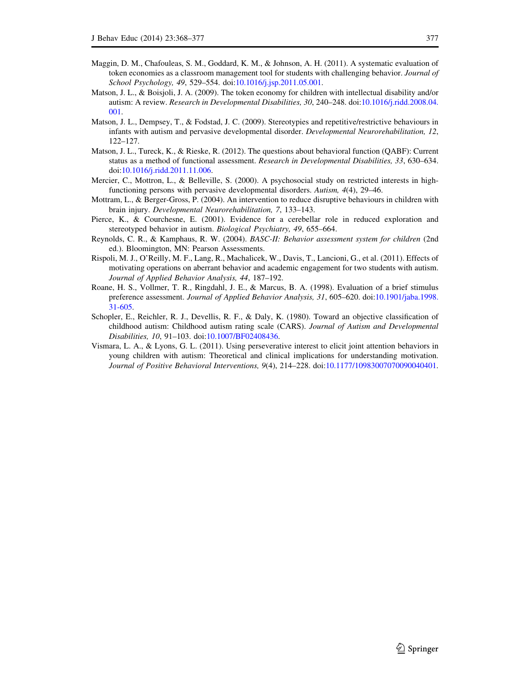- Maggin, D. M., Chafouleas, S. M., Goddard, K. M., & Johnson, A. H. (2011). A systematic evaluation of token economies as a classroom management tool for students with challenging behavior. Journal of School Psychology, 49, 529–554. doi:10.1016/j.jsp.2011.05.001.
- Matson, J. L., & Boisjoli, J. A. (2009). The token economy for children with intellectual disability and/or autism: A review. Research in Developmental Disabilities, 30, 240–248. doi:10.1016/j.ridd.2008.04. 001.
- Matson, J. L., Dempsey, T., & Fodstad, J. C. (2009). Stereotypies and repetitive/restrictive behaviours in infants with autism and pervasive developmental disorder. Developmental Neurorehabilitation, 12, 122–127.
- Matson, J. L., Tureck, K., & Rieske, R. (2012). The questions about behavioral function (QABF): Current status as a method of functional assessment. Research in Developmental Disabilities, 33, 630–634. doi:10.1016/j.ridd.2011.11.006.
- Mercier, C., Mottron, L., & Belleville, S. (2000). A psychosocial study on restricted interests in highfunctioning persons with pervasive developmental disorders. Autism, 4(4), 29–46.
- Mottram, L., & Berger-Gross, P. (2004). An intervention to reduce disruptive behaviours in children with brain injury. Developmental Neurorehabilitation, 7, 133–143.
- Pierce, K., & Courchesne, E. (2001). Evidence for a cerebellar role in reduced exploration and stereotyped behavior in autism. Biological Psychiatry, 49, 655–664.
- Reynolds, C. R., & Kamphaus, R. W. (2004). BASC-II: Behavior assessment system for children (2nd ed.). Bloomington, MN: Pearson Assessments.
- Rispoli, M. J., O'Reilly, M. F., Lang, R., Machalicek, W., Davis, T., Lancioni, G., et al. (2011). Effects of motivating operations on aberrant behavior and academic engagement for two students with autism. Journal of Applied Behavior Analysis, 44, 187–192.
- Roane, H. S., Vollmer, T. R., Ringdahl, J. E., & Marcus, B. A. (1998). Evaluation of a brief stimulus preference assessment. Journal of Applied Behavior Analysis, 31, 605–620. doi:10.1901/jaba.1998. 31-605.
- Schopler, E., Reichler, R. J., Devellis, R. F., & Daly, K. (1980). Toward an objective classification of childhood autism: Childhood autism rating scale (CARS). Journal of Autism and Developmental Disabilities, 10, 91–103. doi:10.1007/BF02408436.
- Vismara, L. A., & Lyons, G. L. (2011). Using perseverative interest to elicit joint attention behaviors in young children with autism: Theoretical and clinical implications for understanding motivation. Journal of Positive Behavioral Interventions, 9(4), 214–228. doi:10.1177/10983007070090040401.